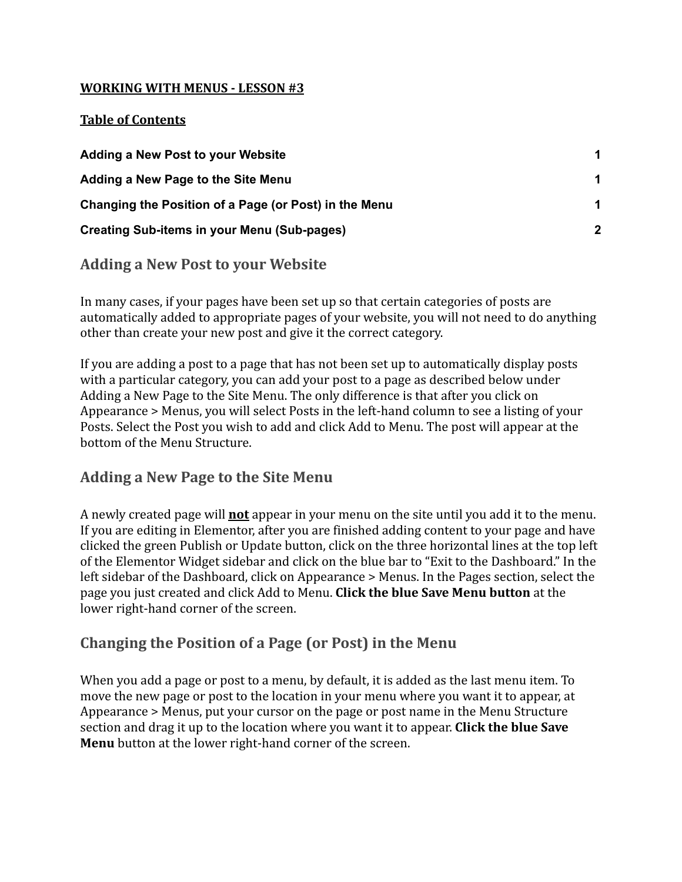#### **WORKING WITH MENUS - LESSON #3**

#### **Table of Contents**

| Adding a New Post to your Website                     |                |
|-------------------------------------------------------|----------------|
| Adding a New Page to the Site Menu                    |                |
| Changing the Position of a Page (or Post) in the Menu |                |
| <b>Creating Sub-items in your Menu (Sub-pages)</b>    | $\overline{2}$ |

## <span id="page-0-0"></span>**Adding a New Post to your Website**

In many cases, if your pages have been set up so that certain categories of posts are automatically added to appropriate pages of your website, you will not need to do anything other than create your new post and give it the correct category.

If you are adding a post to a page that has not been set up to automatically display posts with a particular category, you can add your post to a page as described below under Adding a New Page to the Site Menu. The only difference is that after you click on Appearance > Menus, you will select Posts in the left-hand column to see a listing of your Posts. Select the Post you wish to add and click Add to Menu. The post will appear at the bottom of the Menu Structure.

## <span id="page-0-1"></span>**Adding a New Page to the Site Menu**

A newly created page will **not** appear in your menu on the site until you add it to the menu. If you are editing in Elementor, after you are finished adding content to your page and have clicked the green Publish or Update button, click on the three horizontal lines at the top left of the Elementor Widget sidebar and click on the blue bar to "Exit to the Dashboard." In the left sidebar of the Dashboard, click on Appearance > Menus. In the Pages section, select the page you just created and click Add to Menu. **Click the blue Save Menu button** at the lower right-hand corner of the screen.

## <span id="page-0-2"></span>**Changing the Position of a Page (or Post) in the Menu**

When you add a page or post to a menu, by default, it is added as the last menu item. To move the new page or post to the location in your menu where you want it to appear, at Appearance > Menus, put your cursor on the page or post name in the Menu Structure section and drag it up to the location where you want it to appear. **Click the blue Save Menu** button at the lower right-hand corner of the screen.